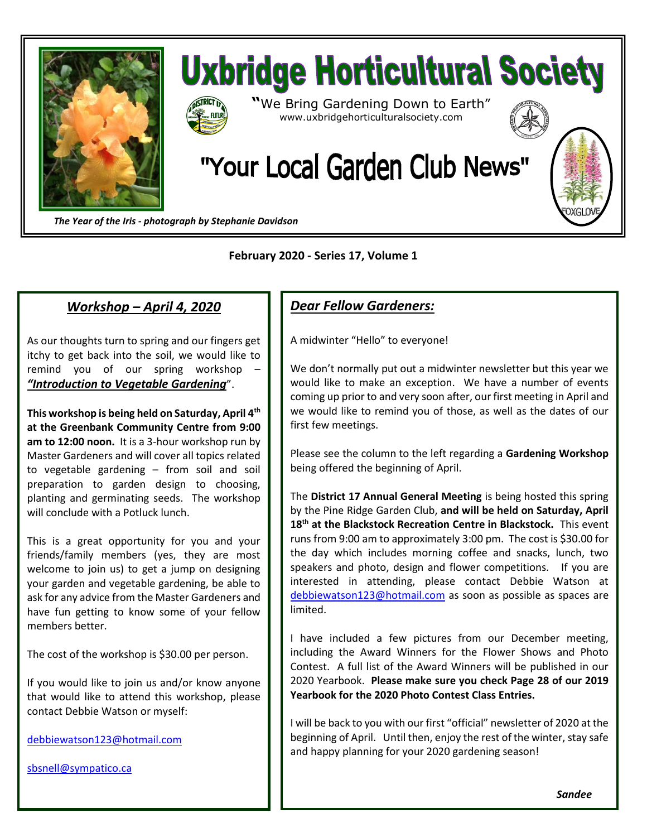



*The Year of the Iris - photograph by Stephanie Davidson*

## **February 2020 - Series 17, Volume 1**

## *Workshop – April 4, 2020*

As our thoughts turn to spring and our fingers get itchy to get back into the soil, we would like to remind you of our spring workshop – *"Introduction to Vegetable Gardening*".

**This workshop is being held on Saturday, April 4th at the Greenbank Community Centre from 9:00 am to 12:00 noon.** It is a 3-hour workshop run by Master Gardeners and will cover all topics related to vegetable gardening – from soil and soil preparation to garden design to choosing, planting and germinating seeds. The workshop will conclude with a Potluck lunch.

This is a great opportunity for you and your friends/family members (yes, they are most welcome to join us) to get a jump on designing your garden and vegetable gardening, be able to ask for any advice from the Master Gardeners and have fun getting to know some of your fellow members better.

The cost of the workshop is \$30.00 per person.

If you would like to join us and/or know anyone that would like to attend this workshop, please contact Debbie Watson or myself:

[debbiewatson123@hotmail.com](mailto:debbiewatson123@hotmail.com)

[sbsnell@sympatico.ca](mailto:sbsnell@sympatico.ca)

## *Dear Fellow Gardeners:*

A midwinter "Hello" to everyone!

We don't normally put out a midwinter newsletter but this year we would like to make an exception. We have a number of events coming up prior to and very soon after, our first meeting in April and we would like to remind you of those, as well as the dates of our first few meetings.

Please see the column to the left regarding a **Gardening Workshop** being offered the beginning of April.

The **District 17 Annual General Meeting** is being hosted this spring by the Pine Ridge Garden Club, **and will be held on Saturday, April 18th at the Blackstock Recreation Centre in Blackstock.** This event runs from 9:00 am to approximately 3:00 pm. The cost is \$30.00 for the day which includes morning coffee and snacks, lunch, two speakers and photo, design and flower competitions. If you are interested in attending, please contact Debbie Watson at [debbiewatson123@hotmail.com](mailto:debbiewatson123@hotmail.com) as soon as possible as spaces are limited.

I have included a few pictures from our December meeting, including the Award Winners for the Flower Shows and Photo Contest. A full list of the Award Winners will be published in our 2020 Yearbook. **Please make sure you check Page 28 of our 2019 Yearbook for the 2020 Photo Contest Class Entries.**

I will be back to you with our first "official" newsletter of 2020 at the beginning of April. Until then, enjoy the rest of the winter, stay safe and happy planning for your 2020 gardening season!

*Sandee*